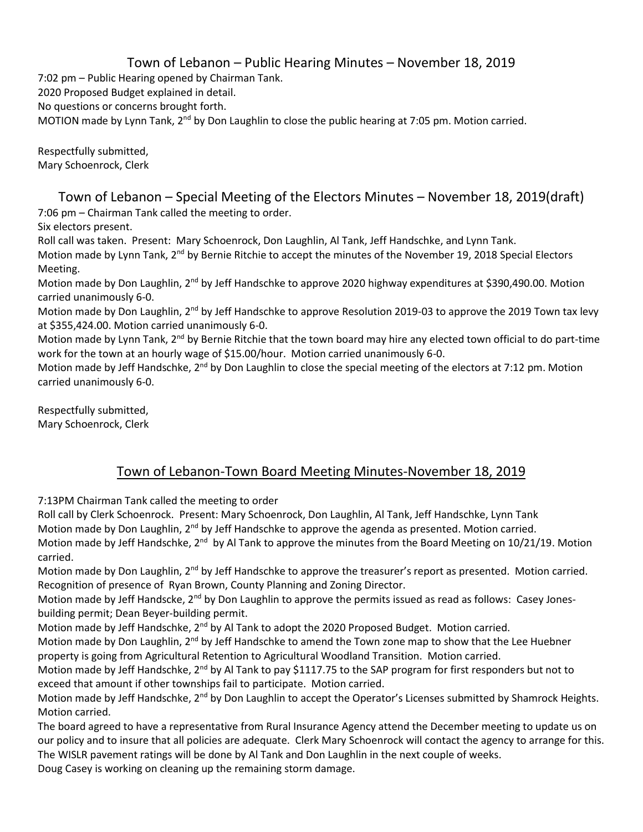## Town of Lebanon – Public Hearing Minutes – November 18, 2019

7:02 pm – Public Hearing opened by Chairman Tank.

2020 Proposed Budget explained in detail.

No questions or concerns brought forth.

MOTION made by Lynn Tank, 2<sup>nd</sup> by Don Laughlin to close the public hearing at 7:05 pm. Motion carried.

Respectfully submitted, Mary Schoenrock, Clerk

Town of Lebanon – Special Meeting of the Electors Minutes – November 18, 2019(draft) 7:06 pm – Chairman Tank called the meeting to order.

Six electors present.

Roll call was taken. Present: Mary Schoenrock, Don Laughlin, Al Tank, Jeff Handschke, and Lynn Tank.

Motion made by Lynn Tank, 2<sup>nd</sup> by Bernie Ritchie to accept the minutes of the November 19, 2018 Special Electors Meeting.

Motion made by Don Laughlin, 2<sup>nd</sup> by Jeff Handschke to approve 2020 highway expenditures at \$390,490.00. Motion carried unanimously 6-0.

Motion made by Don Laughlin, 2<sup>nd</sup> by Jeff Handschke to approve Resolution 2019-03 to approve the 2019 Town tax levy at \$355,424.00. Motion carried unanimously 6-0.

Motion made by Lynn Tank, 2<sup>nd</sup> by Bernie Ritchie that the town board may hire any elected town official to do part-time work for the town at an hourly wage of \$15.00/hour. Motion carried unanimously 6-0.

Motion made by Jeff Handschke, 2<sup>nd</sup> by Don Laughlin to close the special meeting of the electors at 7:12 pm. Motion carried unanimously 6-0.

Respectfully submitted, Mary Schoenrock, Clerk

## Town of Lebanon-Town Board Meeting Minutes-November 18, 2019

7:13PM Chairman Tank called the meeting to order

Roll call by Clerk Schoenrock. Present: Mary Schoenrock, Don Laughlin, Al Tank, Jeff Handschke, Lynn Tank Motion made by Don Laughlin,  $2<sup>nd</sup>$  by Jeff Handschke to approve the agenda as presented. Motion carried. Motion made by Jeff Handschke, 2<sup>nd</sup> by Al Tank to approve the minutes from the Board Meeting on 10/21/19. Motion carried.

Motion made by Don Laughlin, 2<sup>nd</sup> by Jeff Handschke to approve the treasurer's report as presented. Motion carried. Recognition of presence of Ryan Brown, County Planning and Zoning Director.

Motion made by Jeff Handscke, 2<sup>nd</sup> by Don Laughlin to approve the permits issued as read as follows: Casey Jonesbuilding permit; Dean Beyer-building permit.

Motion made by Jeff Handschke, 2<sup>nd</sup> by Al Tank to adopt the 2020 Proposed Budget. Motion carried.

Motion made by Don Laughlin, 2<sup>nd</sup> by Jeff Handschke to amend the Town zone map to show that the Lee Huebner property is going from Agricultural Retention to Agricultural Woodland Transition. Motion carried.

Motion made by Jeff Handschke, 2<sup>nd</sup> by Al Tank to pay \$1117.75 to the SAP program for first responders but not to exceed that amount if other townships fail to participate. Motion carried.

Motion made by Jeff Handschke, 2<sup>nd</sup> by Don Laughlin to accept the Operator's Licenses submitted by Shamrock Heights. Motion carried.

The board agreed to have a representative from Rural Insurance Agency attend the December meeting to update us on our policy and to insure that all policies are adequate. Clerk Mary Schoenrock will contact the agency to arrange for this. The WISLR pavement ratings will be done by Al Tank and Don Laughlin in the next couple of weeks.

Doug Casey is working on cleaning up the remaining storm damage.